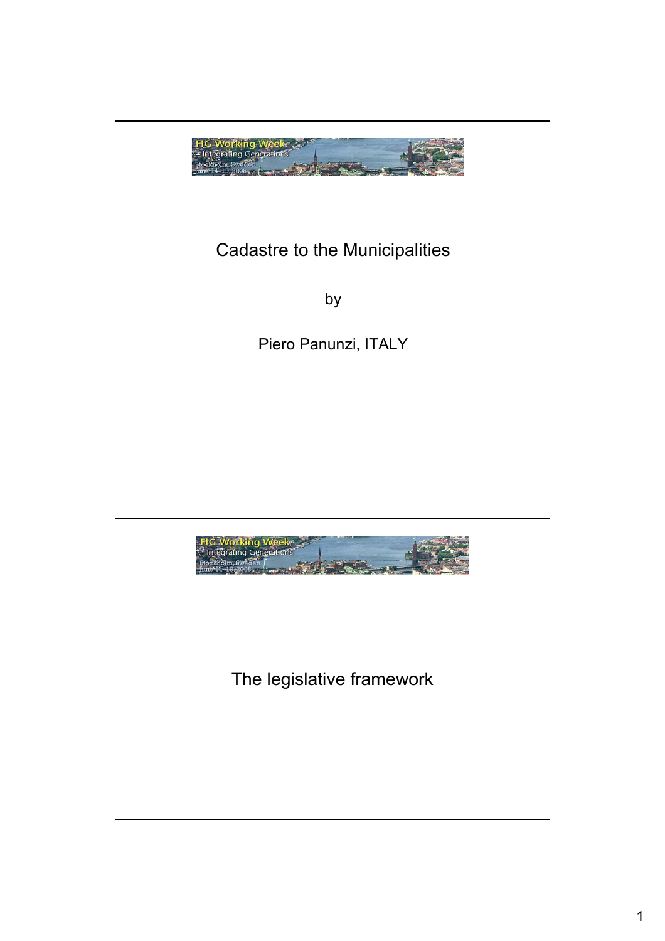

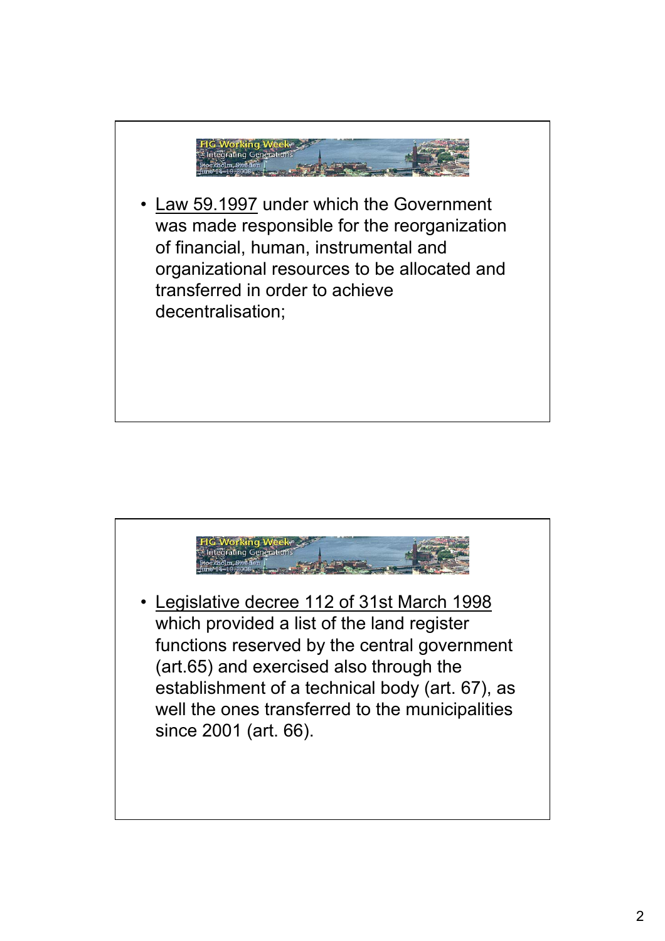

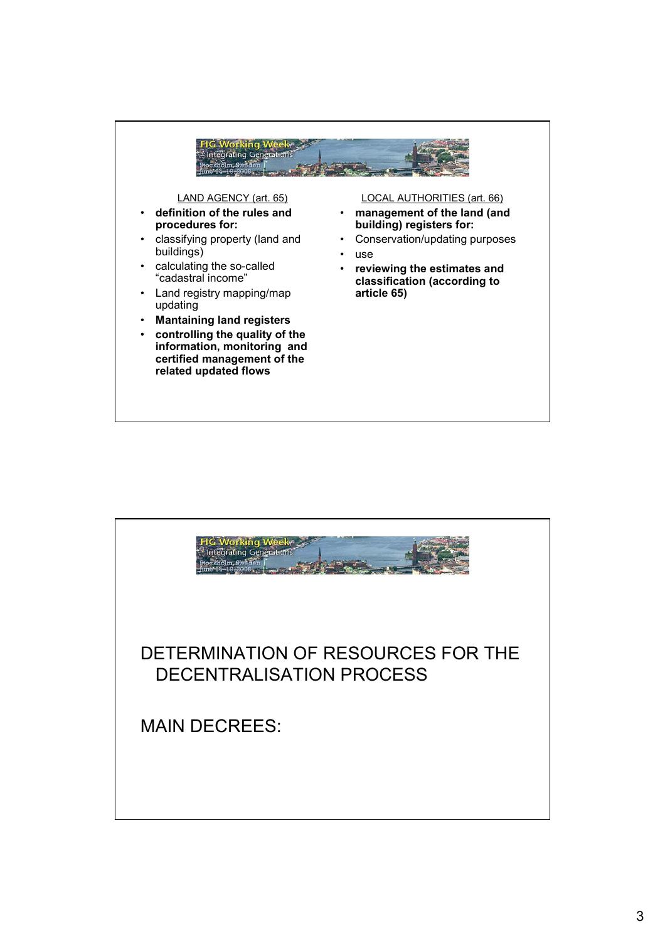

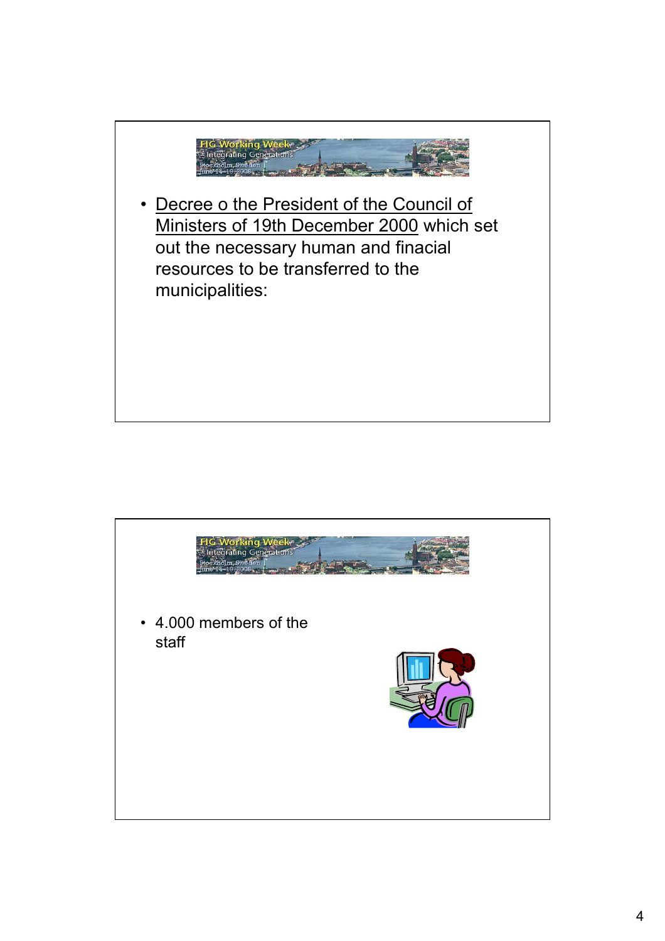

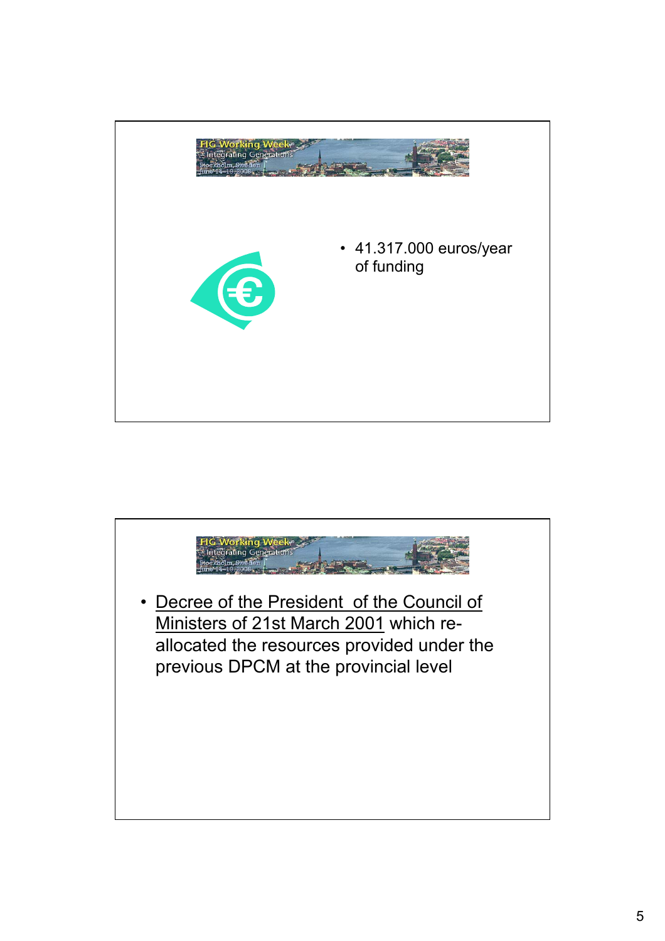

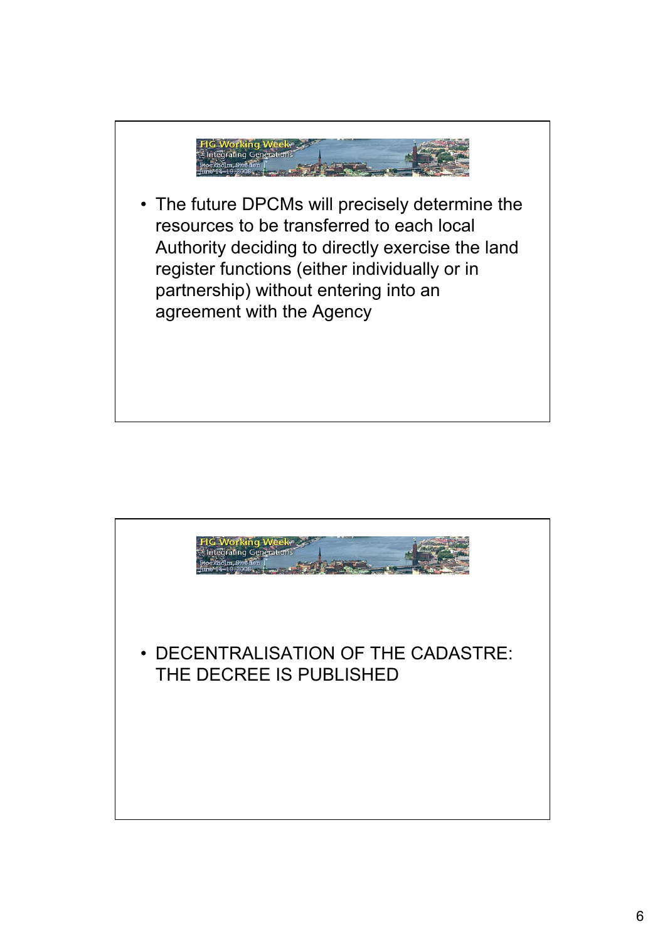

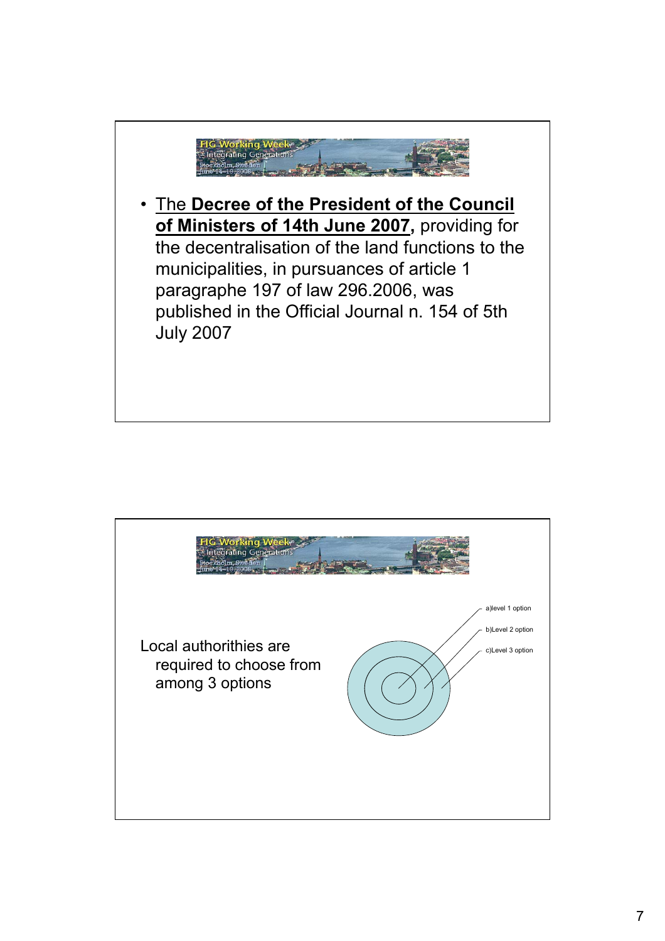

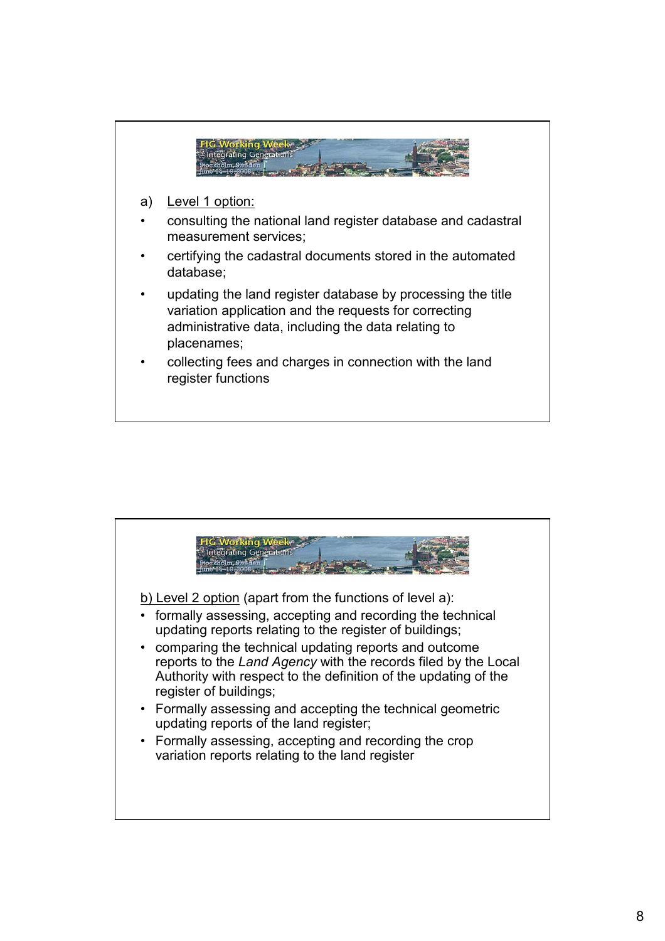

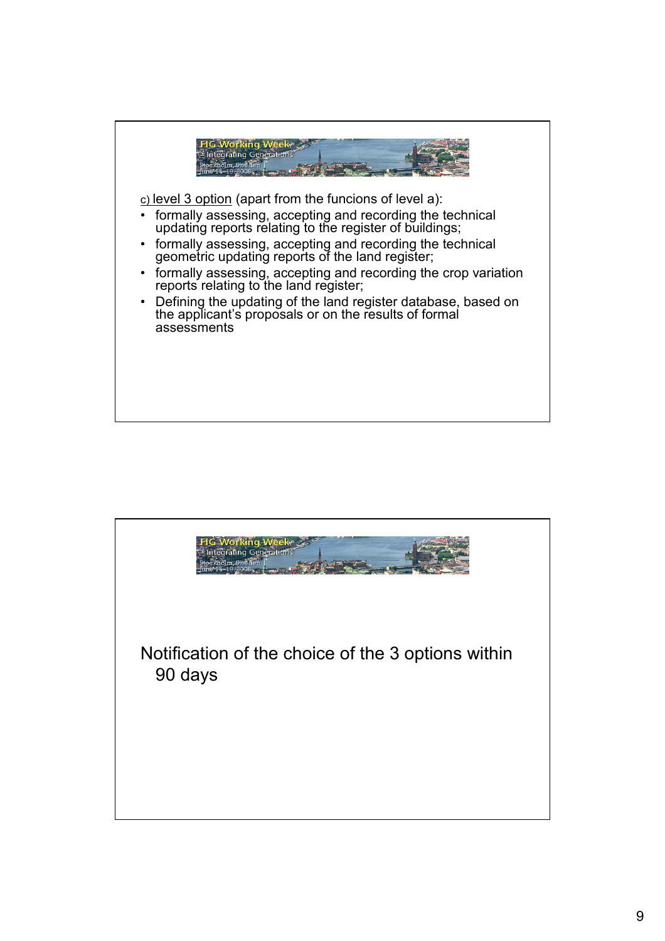

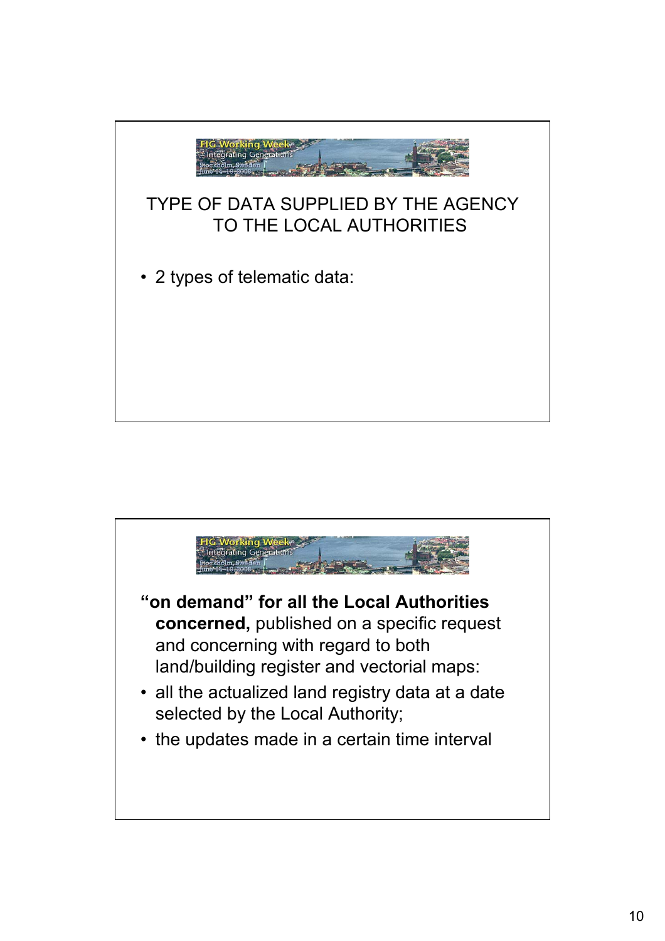

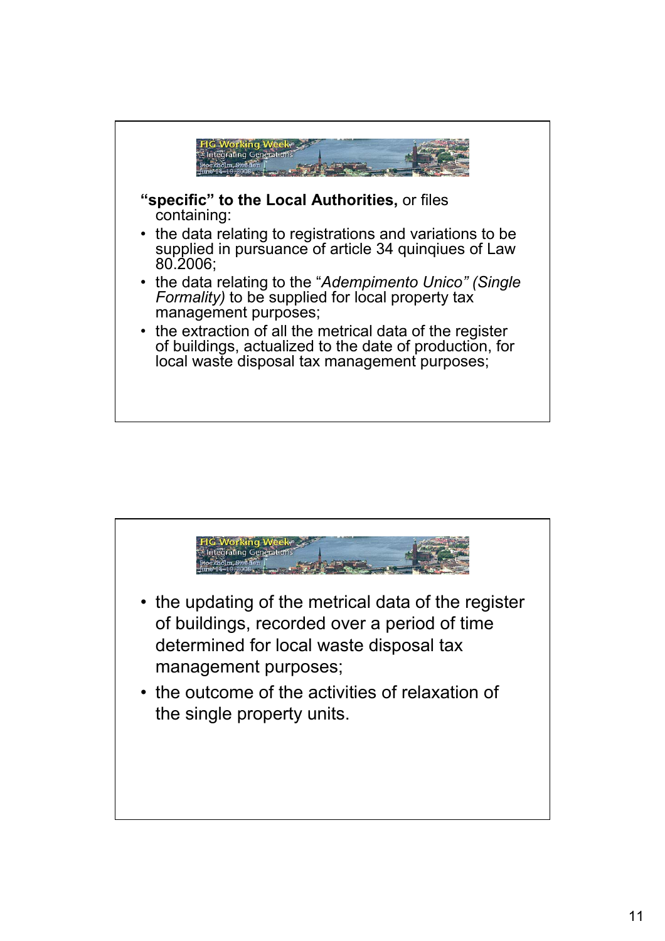

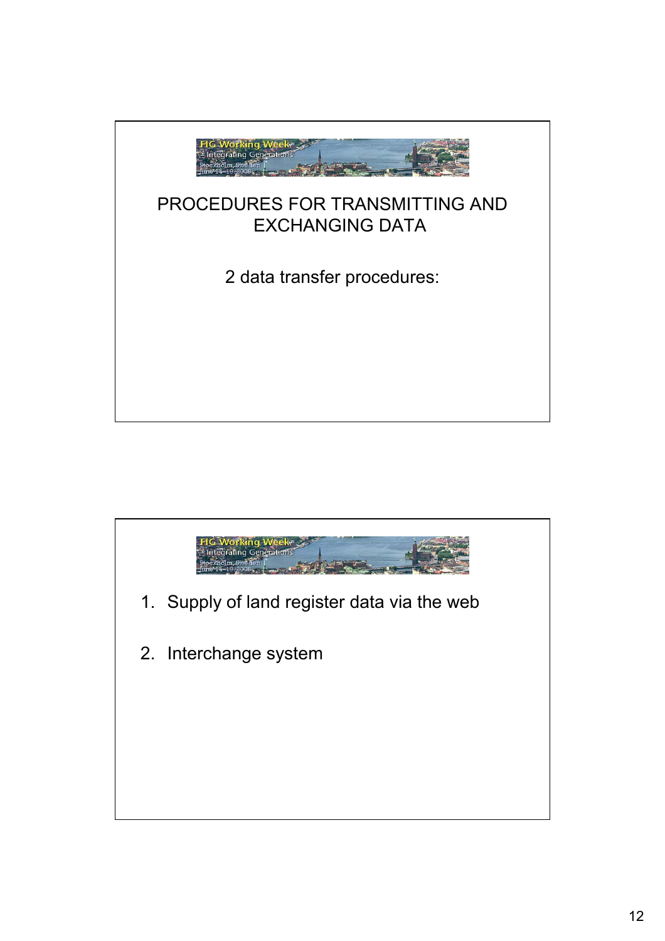

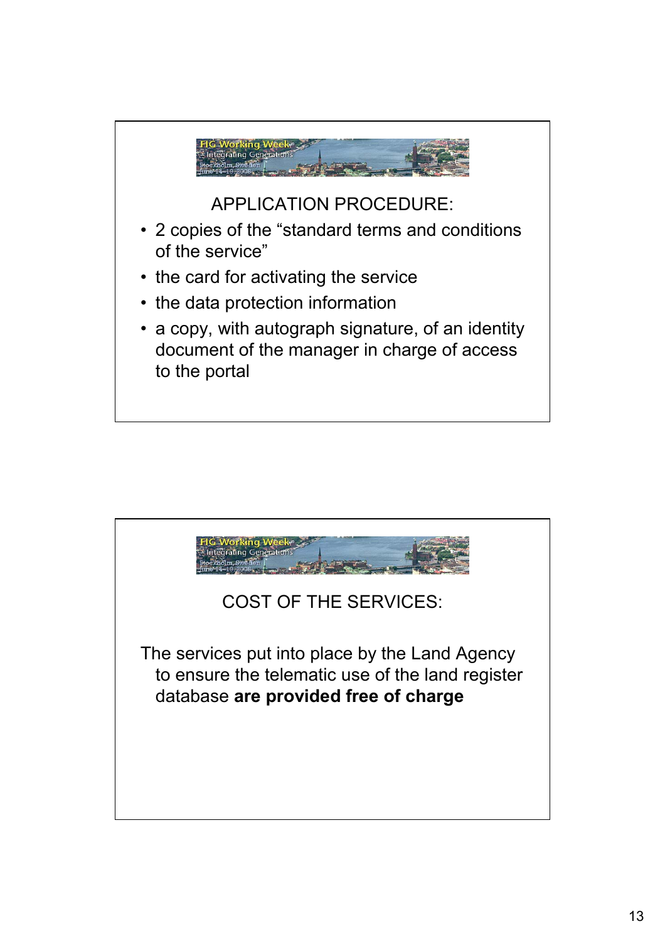

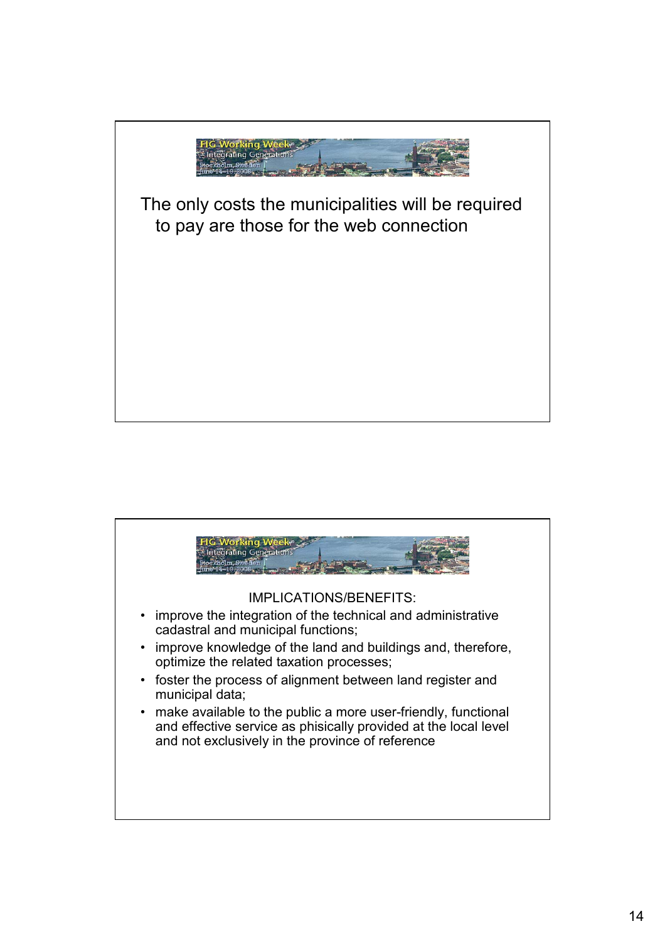